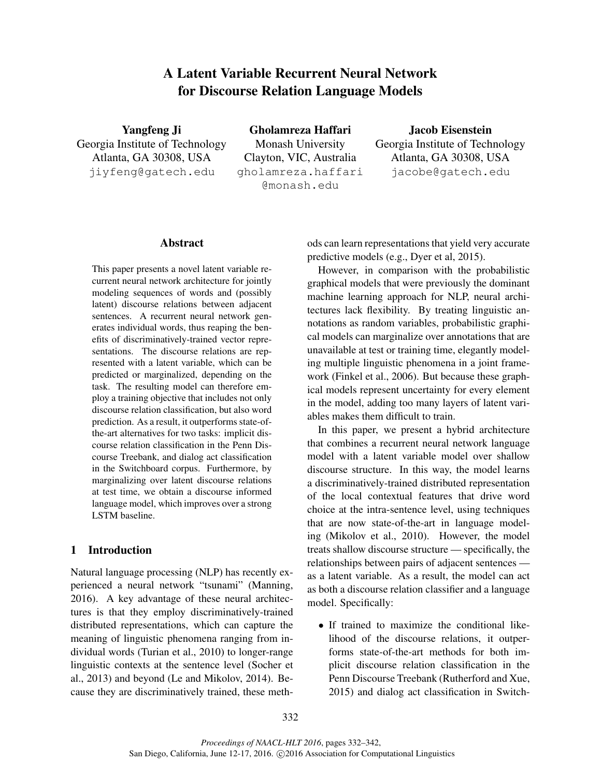# A Latent Variable Recurrent Neural Network for Discourse Relation Language Models

Yangfeng Ji Georgia Institute of Technology Atlanta, GA 30308, USA jiyfeng@gatech.edu

Gholamreza Haffari Monash University Clayton, VIC, Australia gholamreza.haffari @monash.edu

Jacob Eisenstein Georgia Institute of Technology Atlanta, GA 30308, USA jacobe@gatech.edu

## Abstract

This paper presents a novel latent variable recurrent neural network architecture for jointly modeling sequences of words and (possibly latent) discourse relations between adjacent sentences. A recurrent neural network generates individual words, thus reaping the benefits of discriminatively-trained vector representations. The discourse relations are represented with a latent variable, which can be predicted or marginalized, depending on the task. The resulting model can therefore employ a training objective that includes not only discourse relation classification, but also word prediction. As a result, it outperforms state-ofthe-art alternatives for two tasks: implicit discourse relation classification in the Penn Discourse Treebank, and dialog act classification in the Switchboard corpus. Furthermore, by marginalizing over latent discourse relations at test time, we obtain a discourse informed language model, which improves over a strong LSTM baseline.

# 1 Introduction

Natural language processing (NLP) has recently experienced a neural network "tsunami" (Manning, 2016). A key advantage of these neural architectures is that they employ discriminatively-trained distributed representations, which can capture the meaning of linguistic phenomena ranging from individual words (Turian et al., 2010) to longer-range linguistic contexts at the sentence level (Socher et al., 2013) and beyond (Le and Mikolov, 2014). Because they are discriminatively trained, these methods can learn representations that yield very accurate predictive models (e.g., Dyer et al, 2015).

However, in comparison with the probabilistic graphical models that were previously the dominant machine learning approach for NLP, neural architectures lack flexibility. By treating linguistic annotations as random variables, probabilistic graphical models can marginalize over annotations that are unavailable at test or training time, elegantly modeling multiple linguistic phenomena in a joint framework (Finkel et al., 2006). But because these graphical models represent uncertainty for every element in the model, adding too many layers of latent variables makes them difficult to train.

In this paper, we present a hybrid architecture that combines a recurrent neural network language model with a latent variable model over shallow discourse structure. In this way, the model learns a discriminatively-trained distributed representation of the local contextual features that drive word choice at the intra-sentence level, using techniques that are now state-of-the-art in language modeling (Mikolov et al., 2010). However, the model treats shallow discourse structure — specifically, the relationships between pairs of adjacent sentences as a latent variable. As a result, the model can act as both a discourse relation classifier and a language model. Specifically:

• If trained to maximize the conditional likelihood of the discourse relations, it outperforms state-of-the-art methods for both implicit discourse relation classification in the Penn Discourse Treebank (Rutherford and Xue, 2015) and dialog act classification in Switch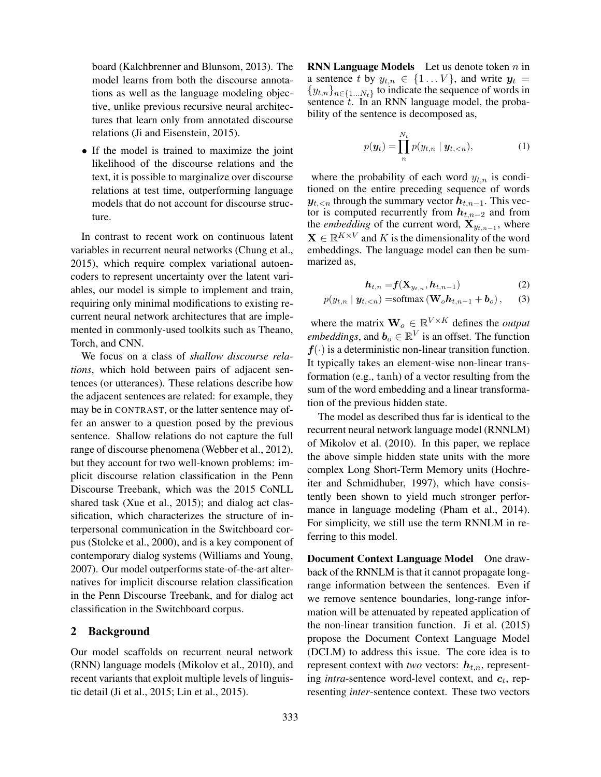board (Kalchbrenner and Blunsom, 2013). The model learns from both the discourse annotations as well as the language modeling objective, unlike previous recursive neural architectures that learn only from annotated discourse relations (Ji and Eisenstein, 2015).

• If the model is trained to maximize the joint likelihood of the discourse relations and the text, it is possible to marginalize over discourse relations at test time, outperforming language models that do not account for discourse structure.

In contrast to recent work on continuous latent variables in recurrent neural networks (Chung et al., 2015), which require complex variational autoencoders to represent uncertainty over the latent variables, our model is simple to implement and train, requiring only minimal modifications to existing recurrent neural network architectures that are implemented in commonly-used toolkits such as Theano, Torch, and CNN.

We focus on a class of *shallow discourse relations*, which hold between pairs of adjacent sentences (or utterances). These relations describe how the adjacent sentences are related: for example, they may be in CONTRAST, or the latter sentence may offer an answer to a question posed by the previous sentence. Shallow relations do not capture the full range of discourse phenomena (Webber et al., 2012), but they account for two well-known problems: implicit discourse relation classification in the Penn Discourse Treebank, which was the 2015 CoNLL shared task (Xue et al., 2015); and dialog act classification, which characterizes the structure of interpersonal communication in the Switchboard corpus (Stolcke et al., 2000), and is a key component of contemporary dialog systems (Williams and Young, 2007). Our model outperforms state-of-the-art alternatives for implicit discourse relation classification in the Penn Discourse Treebank, and for dialog act classification in the Switchboard corpus.

#### 2 Background

Our model scaffolds on recurrent neural network (RNN) language models (Mikolov et al., 2010), and recent variants that exploit multiple levels of linguistic detail (Ji et al., 2015; Lin et al., 2015).

**RNN Language Models** Let us denote token  $n$  in a sentence t by  $y_{t,n} \in \{1...V\}$ , and write  $y_t =$  ${y_{t,n}}_{n \in \{1...N_t\}}$  to indicate the sequence of words in sentence  $t$ . In an RNN language model, the probability of the sentence is decomposed as,

$$
p(\boldsymbol{y}_t) = \prod_{n}^{N_t} p(y_{t,n} | \boldsymbol{y}_{t,\leq n}), \qquad (1)
$$

where the probability of each word  $y_{t,n}$  is conditioned on the entire preceding sequence of words  $y_{t, < n}$  through the summary vector  $h_{t, n-1}$ . This vector is computed recurrently from  $h_{t,n-2}$  and from the *embedding* of the current word,  $\mathbf{X}_{y_{t,n-1}}$ , where  $\mathbf{X} \in \mathbb{R}^{K \times V}$  and K is the dimensionality of the word embeddings. The language model can then be summarized as,

$$
\boldsymbol{h}_{t,n} = \boldsymbol{f}(\mathbf{X}_{y_{t,n}}, \boldsymbol{h}_{t,n-1})
$$
 (2)

$$
p(y_{t,n} | \mathbf{y}_{t,
$$

where the matrix  $\mathbf{W}_o \in \mathbb{R}^{V \times K}$  defines the *output embeddings*, and  $\boldsymbol{b}_o \in \mathbb{R}^V$  is an offset. The function  $f(\cdot)$  is a deterministic non-linear transition function. It typically takes an element-wise non-linear transformation (e.g., tanh) of a vector resulting from the sum of the word embedding and a linear transformation of the previous hidden state.

The model as described thus far is identical to the recurrent neural network language model (RNNLM) of Mikolov et al. (2010). In this paper, we replace the above simple hidden state units with the more complex Long Short-Term Memory units (Hochreiter and Schmidhuber, 1997), which have consistently been shown to yield much stronger performance in language modeling (Pham et al., 2014). For simplicity, we still use the term RNNLM in referring to this model.

Document Context Language Model One drawback of the RNNLM is that it cannot propagate longrange information between the sentences. Even if we remove sentence boundaries, long-range information will be attenuated by repeated application of the non-linear transition function. Ji et al. (2015) propose the Document Context Language Model (DCLM) to address this issue. The core idea is to represent context with *two* vectors:  $h_{t,n}$ , representing *intra*-sentence word-level context, and  $c_t$ , representing *inter*-sentence context. These two vectors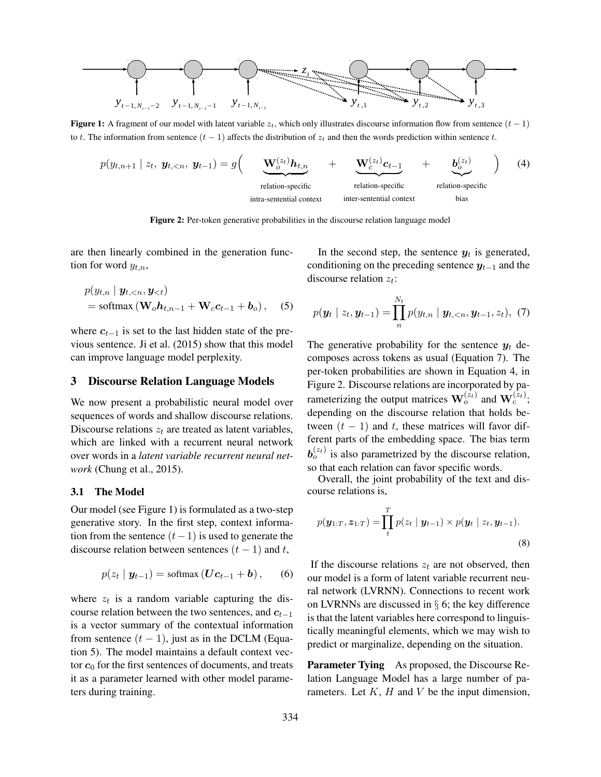

Figure 1: A fragment of our model with latent variable  $z_t$ , which only illustrates discourse information flow from sentence  $(t - 1)$ to t. The information from sentence  $(t - 1)$  affects the distribution of  $z_t$  and then the words prediction within sentence t.

$$
p(y_{t,n+1} \mid z_t, y_{t, < n}, y_{t-1}) = g\left(\underbrace{\mathbf{W}_o^{(z_t)} \mathbf{h}_{t,n}}_{\text{relation-specific}} + \underbrace{\mathbf{W}_c^{(z_t)} \mathbf{c}_{t-1}}_{\text{relation-specific}} + \underbrace{\mathbf{b}_o^{(z_t)}}_{\text{relation-specific}}\right) (4)
$$

Figure 2: Per-token generative probabilities in the discourse relation language model

are then linearly combined in the generation function for word  $y_{t,n}$ ,

$$
p(y_{t,n} | y_{t,  
= softmax ( $\mathbf{W}_o \mathbf{h}_{t,n-1} + \mathbf{W}_c \mathbf{c}_{t-1} + \mathbf{b}_o$ ), (5)
$$

where  $c_{t-1}$  is set to the last hidden state of the previous sentence. Ji et al. (2015) show that this model can improve language model perplexity.

#### 3 Discourse Relation Language Models

We now present a probabilistic neural model over sequences of words and shallow discourse relations. Discourse relations  $z_t$  are treated as latent variables, which are linked with a recurrent neural network over words in a *latent variable recurrent neural network* (Chung et al., 2015).

#### 3.1 The Model

Our model (see Figure 1) is formulated as a two-step generative story. In the first step, context information from the sentence  $(t-1)$  is used to generate the discourse relation between sentences  $(t - 1)$  and t,

$$
p(z_t | y_{t-1}) = \text{softmax}(\mathbf{U}\mathbf{c}_{t-1} + \mathbf{b}), \qquad (6)
$$

where  $z_t$  is a random variable capturing the discourse relation between the two sentences, and  $c_{t-1}$ is a vector summary of the contextual information from sentence  $(t - 1)$ , just as in the DCLM (Equation 5). The model maintains a default context vector  $c_0$  for the first sentences of documents, and treats it as a parameter learned with other model parameters during training.

In the second step, the sentence  $y_t$  is generated, conditioning on the preceding sentence  $y_{t-1}$  and the discourse relation  $z_t$ :

$$
p(\mathbf{y}_t | z_t, \mathbf{y}_{t-1}) = \prod_{n}^{N_t} p(y_{t,n} | \mathbf{y}_{t, < n}, \mathbf{y}_{t-1}, z_t), (7)
$$

The generative probability for the sentence  $y_t$  decomposes across tokens as usual (Equation 7). The per-token probabilities are shown in Equation 4, in Figure 2. Discourse relations are incorporated by parameterizing the output matrices  $\mathbf{W}_o^{(z_t)}$  and  $\mathbf{W}_c^{(z_t)}$ ; depending on the discourse relation that holds between  $(t - 1)$  and t, these matrices will favor different parts of the embedding space. The bias term  $b_o^{(z_t)}$  is also parametrized by the discourse relation, so that each relation can favor specific words.

Overall, the joint probability of the text and discourse relations is,

$$
p(\mathbf{y}_{1:T}, \mathbf{z}_{1:T}) = \prod_t^T p(z_t \mid \mathbf{y}_{t-1}) \times p(\mathbf{y}_t \mid z_t, \mathbf{y}_{t-1}).
$$
\n(8)

If the discourse relations  $z_t$  are not observed, then our model is a form of latent variable recurrent neural network (LVRNN). Connections to recent work on LVRNNs are discussed in § 6; the key difference is that the latent variables here correspond to linguistically meaningful elements, which we may wish to predict or marginalize, depending on the situation.

**Parameter Tying** As proposed, the Discourse Relation Language Model has a large number of parameters. Let  $K$ ,  $H$  and  $V$  be the input dimension,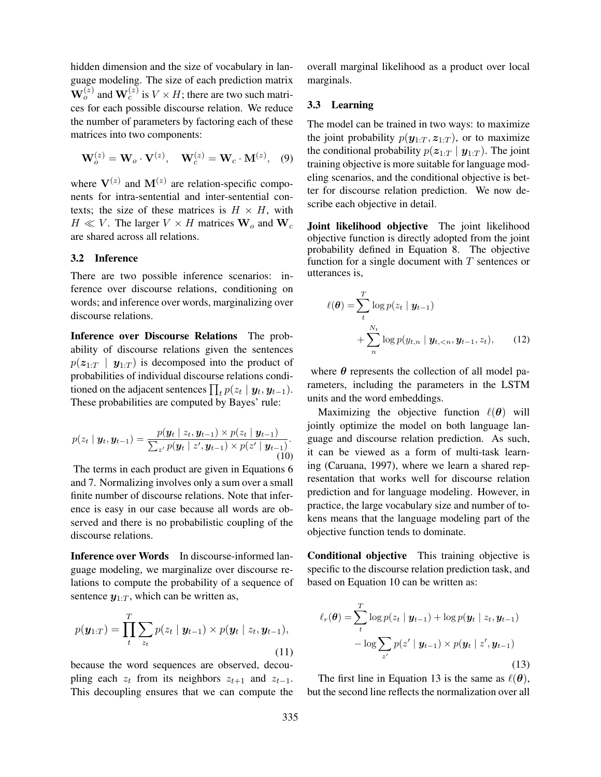hidden dimension and the size of vocabulary in language modeling. The size of each prediction matrix  $\mathbf{W}_o^{(z)}$  and  $\mathbf{W}_c^{(z)}$  is  $V \times H$ ; there are two such matrices for each possible discourse relation. We reduce the number of parameters by factoring each of these matrices into two components:

$$
\mathbf{W}_o^{(z)} = \mathbf{W}_o \cdot \mathbf{V}^{(z)}, \quad \mathbf{W}_c^{(z)} = \mathbf{W}_c \cdot \mathbf{M}^{(z)}, \quad (9)
$$

where  $V^{(z)}$  and  $M^{(z)}$  are relation-specific components for intra-sentential and inter-sentential contexts; the size of these matrices is  $H \times H$ , with  $H \ll V$ . The larger  $V \times H$  matrices  $W_o$  and  $W_c$ are shared across all relations.

### 3.2 Inference

There are two possible inference scenarios: inference over discourse relations, conditioning on words; and inference over words, marginalizing over discourse relations.

Inference over Discourse Relations The probability of discourse relations given the sentences  $p(z_{1:T} | y_{1:T})$  is decomposed into the product of probabilities of individual discourse relations conditioned on the adjacent sentences  $\prod_t p(z_t \mid \boldsymbol{y}_t, \boldsymbol{y}_{t-1}).$ These probabilities are computed by Bayes' rule:

$$
p(z_t \mid \boldsymbol{y}_t, \boldsymbol{y}_{t-1}) = \frac{p(\boldsymbol{y}_t \mid z_t, \boldsymbol{y}_{t-1}) \times p(z_t \mid \boldsymbol{y}_{t-1})}{\sum_{z'} p(\boldsymbol{y}_t \mid z', \boldsymbol{y}_{t-1}) \times p(z' \mid \boldsymbol{y}_{t-1})}.
$$
\n(10)

The terms in each product are given in Equations 6 and 7. Normalizing involves only a sum over a small finite number of discourse relations. Note that inference is easy in our case because all words are observed and there is no probabilistic coupling of the discourse relations.

Inference over Words In discourse-informed language modeling, we marginalize over discourse relations to compute the probability of a sequence of sentence  $y_{1:T}$ , which can be written as,

$$
p(\mathbf{y}_{1:T}) = \prod_{t}^{T} \sum_{z_t} p(z_t | \mathbf{y}_{t-1}) \times p(\mathbf{y}_t | z_t, \mathbf{y}_{t-1}),
$$
\n(11)

because the word sequences are observed, decoupling each  $z_t$  from its neighbors  $z_{t+1}$  and  $z_{t-1}$ . This decoupling ensures that we can compute the overall marginal likelihood as a product over local marginals.

#### 3.3 Learning

The model can be trained in two ways: to maximize the joint probability  $p(\mathbf{y}_{1:T}, \mathbf{z}_{1:T})$ , or to maximize the conditional probability  $p(z_{1:T} | y_{1:T})$ . The joint training objective is more suitable for language modeling scenarios, and the conditional objective is better for discourse relation prediction. We now describe each objective in detail.

Joint likelihood objective The joint likelihood objective function is directly adopted from the joint probability defined in Equation 8. The objective function for a single document with  $T$  sentences or utterances is,

$$
\ell(\boldsymbol{\theta}) = \sum_{t}^{T} \log p(z_t | \boldsymbol{y}_{t-1}) + \sum_{n}^{N_t} \log p(y_{t,n} | \boldsymbol{y}_{t, < n}, \boldsymbol{y}_{t-1}, z_t), \qquad (12)
$$

where  $\theta$  represents the collection of all model parameters, including the parameters in the LSTM units and the word embeddings.

Maximizing the objective function  $\ell(\theta)$  will jointly optimize the model on both language language and discourse relation prediction. As such, it can be viewed as a form of multi-task learning (Caruana, 1997), where we learn a shared representation that works well for discourse relation prediction and for language modeling. However, in practice, the large vocabulary size and number of tokens means that the language modeling part of the objective function tends to dominate.

Conditional objective This training objective is specific to the discourse relation prediction task, and based on Equation 10 can be written as:

$$
\ell_r(\boldsymbol{\theta}) = \sum_{t}^{T} \log p(z_t | \boldsymbol{y}_{t-1}) + \log p(\boldsymbol{y}_t | z_t, \boldsymbol{y}_{t-1}) - \log \sum_{z'} p(z' | \boldsymbol{y}_{t-1}) \times p(\boldsymbol{y}_t | z', \boldsymbol{y}_{t-1})
$$
\n(13)

The first line in Equation 13 is the same as  $\ell(\theta)$ , but the second line reflects the normalization over all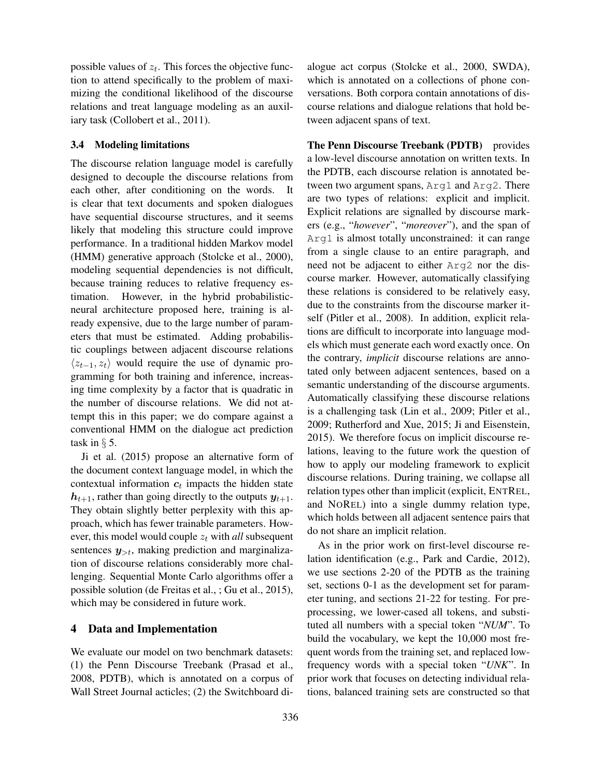possible values of  $z_t$ . This forces the objective function to attend specifically to the problem of maximizing the conditional likelihood of the discourse relations and treat language modeling as an auxiliary task (Collobert et al., 2011).

### 3.4 Modeling limitations

The discourse relation language model is carefully designed to decouple the discourse relations from each other, after conditioning on the words. It is clear that text documents and spoken dialogues have sequential discourse structures, and it seems likely that modeling this structure could improve performance. In a traditional hidden Markov model (HMM) generative approach (Stolcke et al., 2000), modeling sequential dependencies is not difficult, because training reduces to relative frequency estimation. However, in the hybrid probabilisticneural architecture proposed here, training is already expensive, due to the large number of parameters that must be estimated. Adding probabilistic couplings between adjacent discourse relations  $\langle z_{t-1}, z_t \rangle$  would require the use of dynamic programming for both training and inference, increasing time complexity by a factor that is quadratic in the number of discourse relations. We did not attempt this in this paper; we do compare against a conventional HMM on the dialogue act prediction task in  $\S$  5.

Ji et al. (2015) propose an alternative form of the document context language model, in which the contextual information  $c_t$  impacts the hidden state  $h_{t+1}$ , rather than going directly to the outputs  $y_{t+1}$ . They obtain slightly better perplexity with this approach, which has fewer trainable parameters. However, this model would couple  $z_t$  with *all* subsequent sentences  $y_{>t}$ , making prediction and marginalization of discourse relations considerably more challenging. Sequential Monte Carlo algorithms offer a possible solution (de Freitas et al., ; Gu et al., 2015), which may be considered in future work.

### 4 Data and Implementation

We evaluate our model on two benchmark datasets: (1) the Penn Discourse Treebank (Prasad et al., 2008, PDTB), which is annotated on a corpus of Wall Street Journal acticles; (2) the Switchboard dialogue act corpus (Stolcke et al., 2000, SWDA), which is annotated on a collections of phone conversations. Both corpora contain annotations of discourse relations and dialogue relations that hold between adjacent spans of text.

The Penn Discourse Treebank (PDTB) provides a low-level discourse annotation on written texts. In the PDTB, each discourse relation is annotated between two argument spans, Arg1 and Arg2. There are two types of relations: explicit and implicit. Explicit relations are signalled by discourse markers (e.g., "*however*", "*moreover*"), and the span of Arg1 is almost totally unconstrained: it can range from a single clause to an entire paragraph, and need not be adjacent to either Arg2 nor the discourse marker. However, automatically classifying these relations is considered to be relatively easy, due to the constraints from the discourse marker itself (Pitler et al., 2008). In addition, explicit relations are difficult to incorporate into language models which must generate each word exactly once. On the contrary, *implicit* discourse relations are annotated only between adjacent sentences, based on a semantic understanding of the discourse arguments. Automatically classifying these discourse relations is a challenging task (Lin et al., 2009; Pitler et al., 2009; Rutherford and Xue, 2015; Ji and Eisenstein, 2015). We therefore focus on implicit discourse relations, leaving to the future work the question of how to apply our modeling framework to explicit discourse relations. During training, we collapse all relation types other than implicit (explicit, ENTREL, and NOREL) into a single dummy relation type, which holds between all adjacent sentence pairs that do not share an implicit relation.

As in the prior work on first-level discourse relation identification (e.g., Park and Cardie, 2012), we use sections 2-20 of the PDTB as the training set, sections 0-1 as the development set for parameter tuning, and sections 21-22 for testing. For preprocessing, we lower-cased all tokens, and substituted all numbers with a special token "*NUM*". To build the vocabulary, we kept the 10,000 most frequent words from the training set, and replaced lowfrequency words with a special token "*UNK*". In prior work that focuses on detecting individual relations, balanced training sets are constructed so that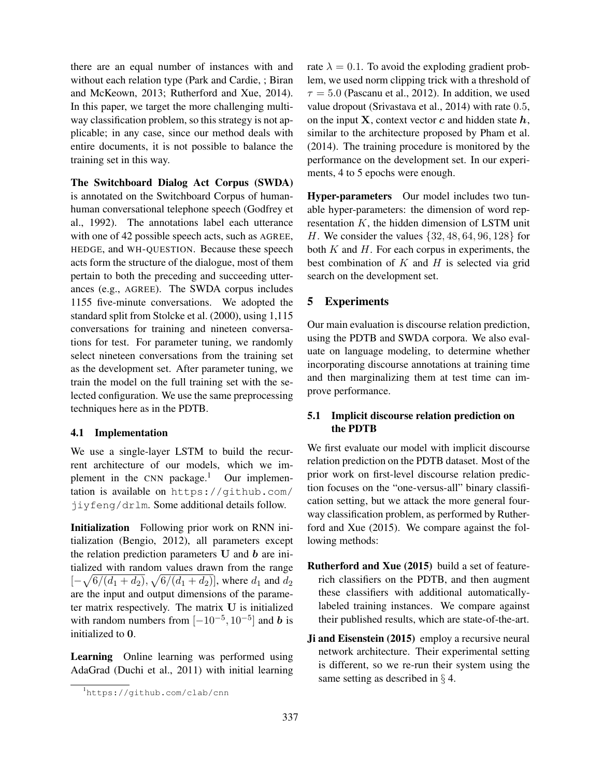there are an equal number of instances with and without each relation type (Park and Cardie, ; Biran and McKeown, 2013; Rutherford and Xue, 2014). In this paper, we target the more challenging multiway classification problem, so this strategy is not applicable; in any case, since our method deals with entire documents, it is not possible to balance the training set in this way.

The Switchboard Dialog Act Corpus (SWDA) is annotated on the Switchboard Corpus of humanhuman conversational telephone speech (Godfrey et al., 1992). The annotations label each utterance with one of 42 possible speech acts, such as AGREE, HEDGE, and WH-QUESTION. Because these speech acts form the structure of the dialogue, most of them pertain to both the preceding and succeeding utterances (e.g., AGREE). The SWDA corpus includes 1155 five-minute conversations. We adopted the standard split from Stolcke et al. (2000), using 1,115 conversations for training and nineteen conversations for test. For parameter tuning, we randomly select nineteen conversations from the training set as the development set. After parameter tuning, we train the model on the full training set with the selected configuration. We use the same preprocessing techniques here as in the PDTB.

### 4.1 Implementation

We use a single-layer LSTM to build the recurrent architecture of our models, which we implement in the CNN package.<sup>1</sup> Our implementation is available on https://github.com/ jiyfeng/drlm. Some additional details follow.

Initialization Following prior work on RNN initialization (Bengio, 2012), all parameters except the relation prediction parameters  $U$  and  $b$  are initialized with random values drawn from the range  $[-\sqrt{6/(d_1+d_2)}, \sqrt{6/(d_1+d_2)}]$ , where  $d_1$  and  $d_2$ are the input and output dimensions of the parameter matrix respectively. The matrix U is initialized with random numbers from  $[-10^{-5}, 10^{-5}]$  and b is initialized to 0.

Learning Online learning was performed using AdaGrad (Duchi et al., 2011) with initial learning rate  $\lambda = 0.1$ . To avoid the exploding gradient problem, we used norm clipping trick with a threshold of  $\tau = 5.0$  (Pascanu et al., 2012). In addition, we used value dropout (Srivastava et al., 2014) with rate 0.5, on the input **X**, context vector c and hidden state  $h$ , similar to the architecture proposed by Pham et al. (2014). The training procedure is monitored by the performance on the development set. In our experiments, 4 to 5 epochs were enough.

Hyper-parameters Our model includes two tunable hyper-parameters: the dimension of word representation  $K$ , the hidden dimension of LSTM unit H. We consider the values {32, 48, 64, 96, 128} for both  $K$  and  $H$ . For each corpus in experiments, the best combination of  $K$  and  $H$  is selected via grid search on the development set.

# 5 Experiments

Our main evaluation is discourse relation prediction, using the PDTB and SWDA corpora. We also evaluate on language modeling, to determine whether incorporating discourse annotations at training time and then marginalizing them at test time can improve performance.

# 5.1 Implicit discourse relation prediction on the PDTB

We first evaluate our model with implicit discourse relation prediction on the PDTB dataset. Most of the prior work on first-level discourse relation prediction focuses on the "one-versus-all" binary classification setting, but we attack the more general fourway classification problem, as performed by Rutherford and Xue (2015). We compare against the following methods:

- Rutherford and Xue (2015) build a set of featurerich classifiers on the PDTB, and then augment these classifiers with additional automaticallylabeled training instances. We compare against their published results, which are state-of-the-art.
- Ji and Eisenstein (2015) employ a recursive neural network architecture. Their experimental setting is different, so we re-run their system using the same setting as described in § 4.

<sup>1</sup>https://github.com/clab/cnn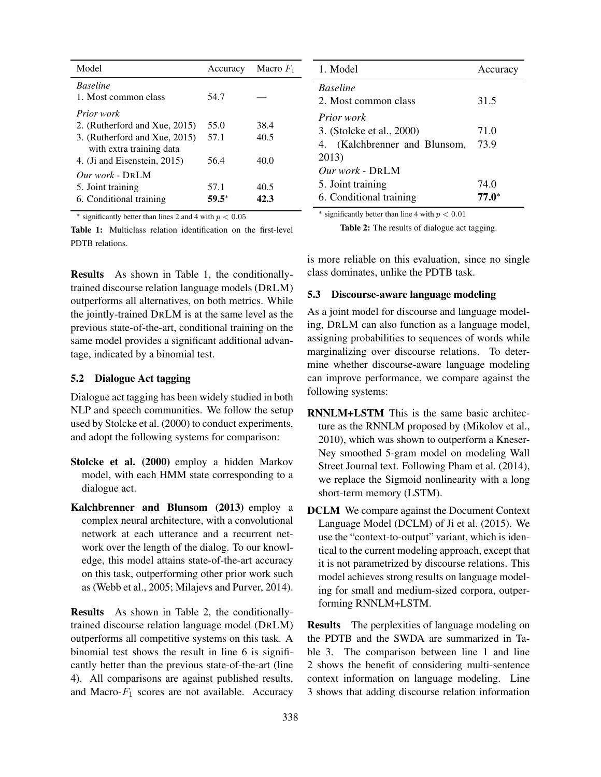| Model                         | Accuracy | Macro $F_1$ |
|-------------------------------|----------|-------------|
| <b>Baseline</b>               |          |             |
| 1. Most common class          | 54.7     |             |
| <i>Prior work</i>             |          |             |
| 2. (Rutherford and Xue, 2015) | 55.0     | 38.4        |
| 3. (Rutherford and Xue, 2015) | 57.1     | 40.5        |
| with extra training data      |          |             |
| 4. (Ji and Eisenstein, 2015)  | 56.4     | 40.0        |
| $Our work$ - DRLM             |          |             |
| 5. Joint training             | 57.1     | 40.5        |
| 6. Conditional training       | 59.5*    | 42.3        |

 $*$  significantly better than lines 2 and 4 with  $p < 0.05$ 

Table 1: Multiclass relation identification on the first-level PDTB relations.

Results As shown in Table 1, the conditionallytrained discourse relation language models (DRLM) outperforms all alternatives, on both metrics. While the jointly-trained DRLM is at the same level as the previous state-of-the-art, conditional training on the same model provides a significant additional advantage, indicated by a binomial test.

### 5.2 Dialogue Act tagging

Dialogue act tagging has been widely studied in both NLP and speech communities. We follow the setup used by Stolcke et al. (2000) to conduct experiments, and adopt the following systems for comparison:

- Stolcke et al. (2000) employ a hidden Markov model, with each HMM state corresponding to a dialogue act.
- Kalchbrenner and Blunsom (2013) employ a complex neural architecture, with a convolutional network at each utterance and a recurrent network over the length of the dialog. To our knowledge, this model attains state-of-the-art accuracy on this task, outperforming other prior work such as (Webb et al., 2005; Milajevs and Purver, 2014).

Results As shown in Table 2, the conditionallytrained discourse relation language model (DRLM) outperforms all competitive systems on this task. A binomial test shows the result in line 6 is significantly better than the previous state-of-the-art (line 4). All comparisons are against published results, and Macro- $F_1$  scores are not available. Accuracy

| 1. Model                                                                        | Accuracy         |
|---------------------------------------------------------------------------------|------------------|
| <b>Baseline</b><br>2. Most common class                                         | 31.5             |
| <i>Prior work</i><br>3. (Stolcke et al., 2000)<br>4. (Kalchbrenner and Blunsom, | 71.0<br>73.9     |
| 2013)<br><i>Our work - DRLM</i><br>5. Joint training<br>6. Conditional training | 74.0<br>$77.0^*$ |

 $*$  significantly better than line 4 with  $p < 0.01$ 

Table 2: The results of dialogue act tagging.

is more reliable on this evaluation, since no single class dominates, unlike the PDTB task.

#### 5.3 Discourse-aware language modeling

As a joint model for discourse and language modeling, DRLM can also function as a language model, assigning probabilities to sequences of words while marginalizing over discourse relations. To determine whether discourse-aware language modeling can improve performance, we compare against the following systems:

- RNNLM+LSTM This is the same basic architecture as the RNNLM proposed by (Mikolov et al., 2010), which was shown to outperform a Kneser-Ney smoothed 5-gram model on modeling Wall Street Journal text. Following Pham et al. (2014), we replace the Sigmoid nonlinearity with a long short-term memory (LSTM).
- DCLM We compare against the Document Context Language Model (DCLM) of Ji et al. (2015). We use the "context-to-output" variant, which is identical to the current modeling approach, except that it is not parametrized by discourse relations. This model achieves strong results on language modeling for small and medium-sized corpora, outperforming RNNLM+LSTM.

Results The perplexities of language modeling on the PDTB and the SWDA are summarized in Table 3. The comparison between line 1 and line 2 shows the benefit of considering multi-sentence context information on language modeling. Line 3 shows that adding discourse relation information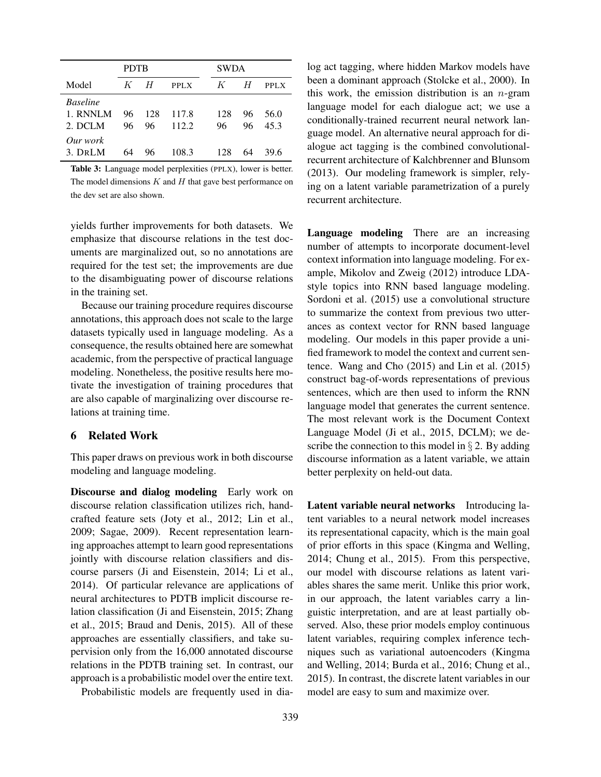|                                        | <b>PDTB</b> |           |                | <b>SWDA</b> |          |              |
|----------------------------------------|-------------|-----------|----------------|-------------|----------|--------------|
| Model                                  | $K_{-}$     | H         | PPLX           | K           | H        | PPLX         |
| <b>Baseline</b><br>1. RNNLM<br>2. DCLM | 96<br>96    | 128<br>96 | 117.8<br>112.2 | 128<br>96   | 96<br>96 | 56.0<br>45.3 |
| Our work<br>3. DRLM                    | 64          | 96        | 108.3          | 128         | 64       | 39.6         |

Table 3: Language model perplexities (PPLX), lower is better. The model dimensions  $K$  and  $H$  that gave best performance on the dev set are also shown.

yields further improvements for both datasets. We emphasize that discourse relations in the test documents are marginalized out, so no annotations are required for the test set; the improvements are due to the disambiguating power of discourse relations in the training set.

Because our training procedure requires discourse annotations, this approach does not scale to the large datasets typically used in language modeling. As a consequence, the results obtained here are somewhat academic, from the perspective of practical language modeling. Nonetheless, the positive results here motivate the investigation of training procedures that are also capable of marginalizing over discourse relations at training time.

# 6 Related Work

This paper draws on previous work in both discourse modeling and language modeling.

Discourse and dialog modeling Early work on discourse relation classification utilizes rich, handcrafted feature sets (Joty et al., 2012; Lin et al., 2009; Sagae, 2009). Recent representation learning approaches attempt to learn good representations jointly with discourse relation classifiers and discourse parsers (Ji and Eisenstein, 2014; Li et al., 2014). Of particular relevance are applications of neural architectures to PDTB implicit discourse relation classification (Ji and Eisenstein, 2015; Zhang et al., 2015; Braud and Denis, 2015). All of these approaches are essentially classifiers, and take supervision only from the 16,000 annotated discourse relations in the PDTB training set. In contrast, our approach is a probabilistic model over the entire text.

Probabilistic models are frequently used in dia-

log act tagging, where hidden Markov models have been a dominant approach (Stolcke et al., 2000). In this work, the emission distribution is an  $n$ -gram language model for each dialogue act; we use a conditionally-trained recurrent neural network language model. An alternative neural approach for dialogue act tagging is the combined convolutionalrecurrent architecture of Kalchbrenner and Blunsom (2013). Our modeling framework is simpler, relying on a latent variable parametrization of a purely recurrent architecture.

Language modeling There are an increasing number of attempts to incorporate document-level context information into language modeling. For example, Mikolov and Zweig (2012) introduce LDAstyle topics into RNN based language modeling. Sordoni et al. (2015) use a convolutional structure to summarize the context from previous two utterances as context vector for RNN based language modeling. Our models in this paper provide a unified framework to model the context and current sentence. Wang and Cho (2015) and Lin et al. (2015) construct bag-of-words representations of previous sentences, which are then used to inform the RNN language model that generates the current sentence. The most relevant work is the Document Context Language Model (Ji et al., 2015, DCLM); we describe the connection to this model in  $\S 2$ . By adding discourse information as a latent variable, we attain better perplexity on held-out data.

Latent variable neural networks Introducing latent variables to a neural network model increases its representational capacity, which is the main goal of prior efforts in this space (Kingma and Welling, 2014; Chung et al., 2015). From this perspective, our model with discourse relations as latent variables shares the same merit. Unlike this prior work, in our approach, the latent variables carry a linguistic interpretation, and are at least partially observed. Also, these prior models employ continuous latent variables, requiring complex inference techniques such as variational autoencoders (Kingma and Welling, 2014; Burda et al., 2016; Chung et al., 2015). In contrast, the discrete latent variables in our model are easy to sum and maximize over.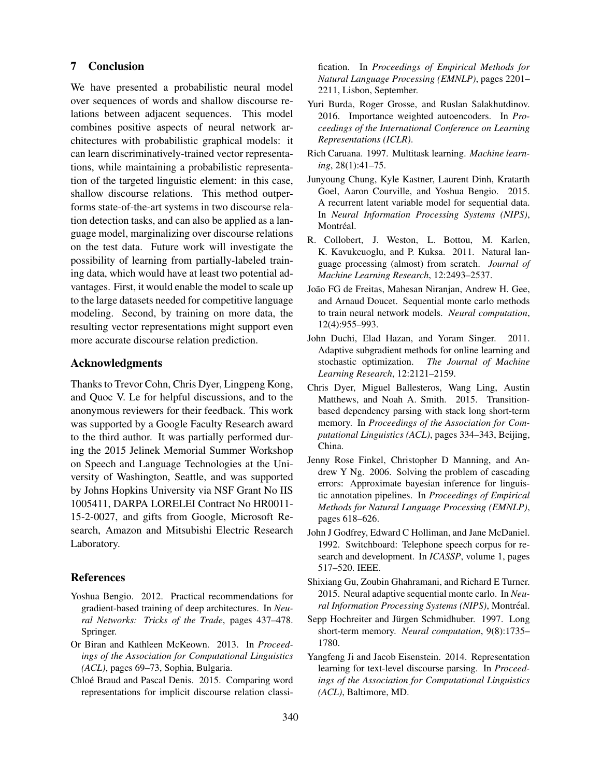# 7 Conclusion

We have presented a probabilistic neural model over sequences of words and shallow discourse relations between adjacent sequences. This model combines positive aspects of neural network architectures with probabilistic graphical models: it can learn discriminatively-trained vector representations, while maintaining a probabilistic representation of the targeted linguistic element: in this case, shallow discourse relations. This method outperforms state-of-the-art systems in two discourse relation detection tasks, and can also be applied as a language model, marginalizing over discourse relations on the test data. Future work will investigate the possibility of learning from partially-labeled training data, which would have at least two potential advantages. First, it would enable the model to scale up to the large datasets needed for competitive language modeling. Second, by training on more data, the resulting vector representations might support even more accurate discourse relation prediction.

### Acknowledgments

Thanks to Trevor Cohn, Chris Dyer, Lingpeng Kong, and Quoc V. Le for helpful discussions, and to the anonymous reviewers for their feedback. This work was supported by a Google Faculty Research award to the third author. It was partially performed during the 2015 Jelinek Memorial Summer Workshop on Speech and Language Technologies at the University of Washington, Seattle, and was supported by Johns Hopkins University via NSF Grant No IIS 1005411, DARPA LORELEI Contract No HR0011- 15-2-0027, and gifts from Google, Microsoft Research, Amazon and Mitsubishi Electric Research Laboratory.

#### References

- Yoshua Bengio. 2012. Practical recommendations for gradient-based training of deep architectures. In *Neural Networks: Tricks of the Trade*, pages 437–478. Springer.
- Or Biran and Kathleen McKeown. 2013. In *Proceedings of the Association for Computational Linguistics (ACL)*, pages 69–73, Sophia, Bulgaria.
- Chloé Braud and Pascal Denis. 2015. Comparing word representations for implicit discourse relation classi-

fication. In *Proceedings of Empirical Methods for Natural Language Processing (EMNLP)*, pages 2201– 2211, Lisbon, September.

- Yuri Burda, Roger Grosse, and Ruslan Salakhutdinov. 2016. Importance weighted autoencoders. In *Proceedings of the International Conference on Learning Representations (ICLR)*.
- Rich Caruana. 1997. Multitask learning. *Machine learning*, 28(1):41–75.
- Junyoung Chung, Kyle Kastner, Laurent Dinh, Kratarth Goel, Aaron Courville, and Yoshua Bengio. 2015. A recurrent latent variable model for sequential data. In *Neural Information Processing Systems (NIPS)*, Montréal.
- R. Collobert, J. Weston, L. Bottou, M. Karlen, K. Kavukcuoglu, and P. Kuksa. 2011. Natural language processing (almost) from scratch. *Journal of Machine Learning Research*, 12:2493–2537.
- João FG de Freitas, Mahesan Niranjan, Andrew H. Gee, and Arnaud Doucet. Sequential monte carlo methods to train neural network models. *Neural computation*, 12(4):955–993.
- John Duchi, Elad Hazan, and Yoram Singer. 2011. Adaptive subgradient methods for online learning and stochastic optimization. *The Journal of Machine Learning Research*, 12:2121–2159.
- Chris Dyer, Miguel Ballesteros, Wang Ling, Austin Matthews, and Noah A. Smith. 2015. Transitionbased dependency parsing with stack long short-term memory. In *Proceedings of the Association for Computational Linguistics (ACL)*, pages 334–343, Beijing, China.
- Jenny Rose Finkel, Christopher D Manning, and Andrew Y Ng. 2006. Solving the problem of cascading errors: Approximate bayesian inference for linguistic annotation pipelines. In *Proceedings of Empirical Methods for Natural Language Processing (EMNLP)*, pages 618–626.
- John J Godfrey, Edward C Holliman, and Jane McDaniel. 1992. Switchboard: Telephone speech corpus for research and development. In *ICASSP*, volume 1, pages 517–520. IEEE.
- Shixiang Gu, Zoubin Ghahramani, and Richard E Turner. 2015. Neural adaptive sequential monte carlo. In *Neural Information Processing Systems (NIPS)*, Montréal.
- Sepp Hochreiter and Jürgen Schmidhuber. 1997. Long short-term memory. *Neural computation*, 9(8):1735– 1780.
- Yangfeng Ji and Jacob Eisenstein. 2014. Representation learning for text-level discourse parsing. In *Proceedings of the Association for Computational Linguistics (ACL)*, Baltimore, MD.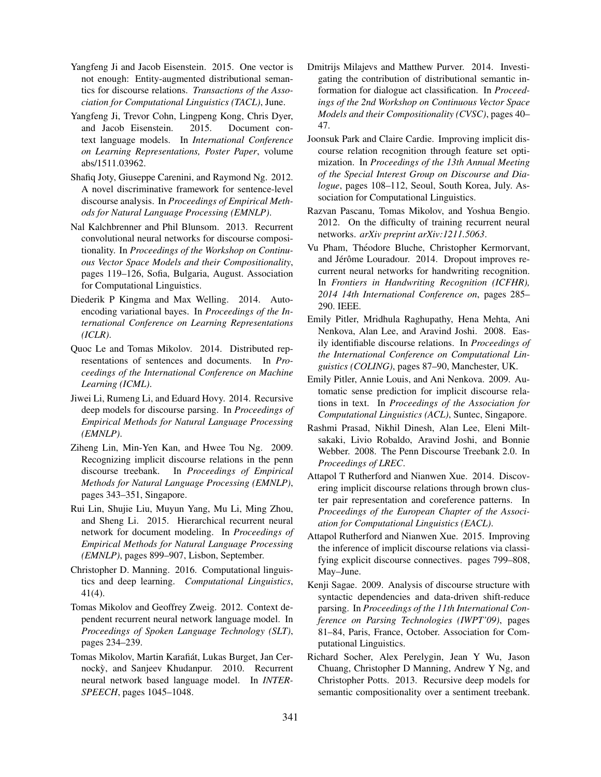- Yangfeng Ji and Jacob Eisenstein. 2015. One vector is not enough: Entity-augmented distributional semantics for discourse relations. *Transactions of the Association for Computational Linguistics (TACL)*, June.
- Yangfeng Ji, Trevor Cohn, Lingpeng Kong, Chris Dyer, and Jacob Eisenstein. 2015. Document context language models. In *International Conference on Learning Representations, Poster Paper*, volume abs/1511.03962.
- Shafiq Joty, Giuseppe Carenini, and Raymond Ng. 2012. A novel discriminative framework for sentence-level discourse analysis. In *Proceedings of Empirical Methods for Natural Language Processing (EMNLP)*.
- Nal Kalchbrenner and Phil Blunsom. 2013. Recurrent convolutional neural networks for discourse compositionality. In *Proceedings of the Workshop on Continuous Vector Space Models and their Compositionality*, pages 119–126, Sofia, Bulgaria, August. Association for Computational Linguistics.
- Diederik P Kingma and Max Welling. 2014. Autoencoding variational bayes. In *Proceedings of the International Conference on Learning Representations (ICLR)*.
- Quoc Le and Tomas Mikolov. 2014. Distributed representations of sentences and documents. In *Proceedings of the International Conference on Machine Learning (ICML)*.
- Jiwei Li, Rumeng Li, and Eduard Hovy. 2014. Recursive deep models for discourse parsing. In *Proceedings of Empirical Methods for Natural Language Processing (EMNLP)*.
- Ziheng Lin, Min-Yen Kan, and Hwee Tou Ng. 2009. Recognizing implicit discourse relations in the penn discourse treebank. In *Proceedings of Empirical Methods for Natural Language Processing (EMNLP)*, pages 343–351, Singapore.
- Rui Lin, Shujie Liu, Muyun Yang, Mu Li, Ming Zhou, and Sheng Li. 2015. Hierarchical recurrent neural network for document modeling. In *Proceedings of Empirical Methods for Natural Language Processing (EMNLP)*, pages 899–907, Lisbon, September.
- Christopher D. Manning. 2016. Computational linguistics and deep learning. *Computational Linguistics*, 41(4).
- Tomas Mikolov and Geoffrey Zweig. 2012. Context dependent recurrent neural network language model. In *Proceedings of Spoken Language Technology (SLT)*, pages 234–239.
- Tomas Mikolov, Martin Karafiát, Lukas Burget, Jan Cernocky, and Sanjeev Khudanpur. 2010. Recurrent neural network based language model. In *INTER-SPEECH*, pages 1045–1048.
- Dmitrijs Milajevs and Matthew Purver. 2014. Investigating the contribution of distributional semantic information for dialogue act classification. In *Proceedings of the 2nd Workshop on Continuous Vector Space Models and their Compositionality (CVSC)*, pages 40– 47.
- Joonsuk Park and Claire Cardie. Improving implicit discourse relation recognition through feature set optimization. In *Proceedings of the 13th Annual Meeting of the Special Interest Group on Discourse and Dialogue*, pages 108–112, Seoul, South Korea, July. Association for Computational Linguistics.
- Razvan Pascanu, Tomas Mikolov, and Yoshua Bengio. 2012. On the difficulty of training recurrent neural networks. *arXiv preprint arXiv:1211.5063*.
- Vu Pham, Théodore Bluche, Christopher Kermorvant, and Jérôme Louradour. 2014. Dropout improves recurrent neural networks for handwriting recognition. In *Frontiers in Handwriting Recognition (ICFHR), 2014 14th International Conference on*, pages 285– 290. IEEE.
- Emily Pitler, Mridhula Raghupathy, Hena Mehta, Ani Nenkova, Alan Lee, and Aravind Joshi. 2008. Easily identifiable discourse relations. In *Proceedings of the International Conference on Computational Linguistics (COLING)*, pages 87–90, Manchester, UK.
- Emily Pitler, Annie Louis, and Ani Nenkova. 2009. Automatic sense prediction for implicit discourse relations in text. In *Proceedings of the Association for Computational Linguistics (ACL)*, Suntec, Singapore.
- Rashmi Prasad, Nikhil Dinesh, Alan Lee, Eleni Miltsakaki, Livio Robaldo, Aravind Joshi, and Bonnie Webber. 2008. The Penn Discourse Treebank 2.0. In *Proceedings of LREC*.
- Attapol T Rutherford and Nianwen Xue. 2014. Discovering implicit discourse relations through brown cluster pair representation and coreference patterns. In *Proceedings of the European Chapter of the Association for Computational Linguistics (EACL)*.
- Attapol Rutherford and Nianwen Xue. 2015. Improving the inference of implicit discourse relations via classifying explicit discourse connectives. pages 799–808, May–June.
- Kenji Sagae. 2009. Analysis of discourse structure with syntactic dependencies and data-driven shift-reduce parsing. In *Proceedings of the 11th International Conference on Parsing Technologies (IWPT'09)*, pages 81–84, Paris, France, October. Association for Computational Linguistics.
- Richard Socher, Alex Perelygin, Jean Y Wu, Jason Chuang, Christopher D Manning, Andrew Y Ng, and Christopher Potts. 2013. Recursive deep models for semantic compositionality over a sentiment treebank.